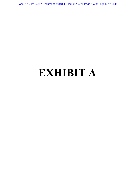Case: 1:17-cv-04857 Document #: 348-1 Filed: 06/04/21 Page 1 of 9 PageID #:10845

# **EXHIBIT A**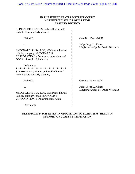## **IN THE UNITED STATES DISTRICT COURT NORTHERN DISTRICT OF ILLINOIS EASTERN DIVISION**

| LEINANI DESLANDES, on behalf of herself<br>and all others similarly situated,                                                                                                                                                                              |                                                            |
|------------------------------------------------------------------------------------------------------------------------------------------------------------------------------------------------------------------------------------------------------------|------------------------------------------------------------|
| Plaintiff,                                                                                                                                                                                                                                                 | Case No. 17-cv-04857                                       |
| V.<br>McDONALD'S USA, LLC, a Delaware limited<br>liability company, McDONALD'S<br>CORPORATION, a Delaware corporation; and<br>DOES 1 through 10, inclusive,<br>Defendants.<br>STEPHANIE TURNER, on behalf of herself<br>and all others similarly situated, | Judge Jorge L. Alonso<br>Magistrate Judge M. David Weisman |
| Plaintiff,                                                                                                                                                                                                                                                 | Case No. 19-cv-05524                                       |
| V.<br>McDONALD'S USA, LLC, a Delaware limited<br>liability company, and McDONALD'S<br>CORPORATION, a Delaware corporation,<br>Defendants.                                                                                                                  | Judge Jorge L. Alonso<br>Magistrate Judge M. David Weisman |
|                                                                                                                                                                                                                                                            |                                                            |

# **DEFENDANTS' SUR-REPLY IN OPPOSITION TO PLAINTIFFS' REPLY IN SUPPORT OF CLASS CERTIFICATION**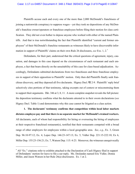#### Case: 1:17-cv-04857 Document #: 348-1 Filed: 06/04/21 Page 3 of 9 PageID #:10847

Plaintiffs accuse each and every one of the more than 2,000 McDonald's franchisees of joining a nationwide conspiracy to suppress wages—yet they took no depositions of any McDonald's franchise owner/operators or franchisee employees before filing their motion for class certification. They did not even bother to depose anyone who worked with either of the named Plaintiffs. And that is true notwithstanding the fact that Plaintiffs identified "current and former employees" of their McDonald's franchise restaurants as witnesses likely to have discoverable information in support of Plaintiffs' claims on their own Rule 26 disclosures, *see* Exs. 1, 2.[\\*](#page-2-0)

Defendants, for their part, understood that the critical questions of agreement, injury, causation, and damages in this case depend on the circumstances of each restaurant and each employee, a fact that bears directly on the unsuitability of this case for class-based adjudication. Accordingly, Defendants submitted declarations from two franchisees and three franchisee employees in support of their opposition to Plaintiffs' motion. Only then did Plaintiffs finally seek franchisee discovery, and they deposed all five declarants. Higney Decl. ¶¶ 2-9. Plaintiffs' reply brief selectively cites portions of that testimony, taking excerpts out of context or misconstruing them to support their arguments. Dkt. 346 at 3, 8, 11. A more complete snapshot reveals the full picture: the deposition testimony confirms what the declarants attested to in their sworn declarations (*see*  Higney Decl. Table 1) and demonstrates why this case cannot be litigated as a class action.

**1. The declarants' testimony confirms that competition within local labor markets dictates employee pay and that there is no separate market for McDonald's-trained workers.**  All declarants, each of whom had responsibility for hiring or overseeing the hiring of employees at their respective franchised restaurant(s), testified that their restaurants competed with a broad range of other employers for employees within a local geographic area. *See*, *e.g*., Ex. 3, Groen Dep. 96:10-97:12; Ex. 4, Lopez Dep. 146:23-147:13; Ex. 5, Vidler Dep. 221:15-222:10; Ex 6, Miller Dep. 155:23-156:21; Ex. 7, Watson Dep. 115: 4-23. Moreover, the witnesses unequivocally

 $\overline{a}$ 

<span id="page-2-0"></span><sup>\*</sup> All "Ex." citations refer to exhibits attached to the Declaration of Caeli Higney filed in support of Defendants' motion for leave to file a sur-reply. Ms. Deslandes named Eric Vidler, Donna Miller, and Jason Watson in her Rule 26(a) disclosures. Ex. 1 at 2.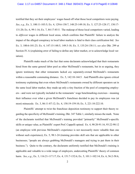#### Case: 1:17-cv-04857 Document #: 348-1 Filed: 06/04/21 Page 4 of 9 PageID #:10848

testified that they set their employees' wages based off what those local competitors were paying. *See*, *e.g*., Ex. 3, 100:11-103:5; Ex. 4, 129:6-130:7, 148:25-149:18; Ex. 5, 127:25-128:17, 130:17- 131:20; Ex. 6, 99:1-16; Ex. 7, 84:17-85:5. The makeup of those local competitors varied, leading to *different* wages in different local areas, which confirms that Plaintiffs' failure to analyze the impact of the alleged conspiracy in local labor markets is fatal to their class certification bid. *See* Ex. 3, 100:6-101:23; Ex. 4, 147:15-148:5, 149:3-18; Ex. 5, 135:24-138:11; *see also* Dkt. 299 at Section IV.A (explaining error of failing to define any labor market, or to acknowledge local variation).

Plaintiffs make much of the fact that some declarants acknowledged that their restaurants hired from the same general labor pool as other McDonald's restaurants, but in so arguing, they ignore testimony that other restaurants lacked *any* separately-owned McDonald's restaurants within a reasonable commuting distance. Ex. 5, 142:10-144:5. And Plaintiffs also ignore critical testimony explaining that even where McDonald's restaurants owned by different operators sat in the same local labor market, they made up only a tiny fraction of the pool of competing employers—and were not typically included in the restaurants' wage benchmarking exercises—meaning their influence over what a given McDonald's franchisee decided to pay its employees was (at most) minuscule. Ex. 3, 86:11-87:12; Ex. 4, 158:19-159:10; Ex. 5, 221:10-222:10.

Plaintiffs' attempt to twist the franchisee deposition testimony to support their theory regarding the specificity of McDonald's training, Dkt. 347 Table 1, similarly misses the mark. None of the declarants testified that McDonald's training provided "primarily" McDonald's-specific skills or unique value, as Plaintiffs' expert Prof. Cappelli opined. Ex. 4, 90:20-91:16, 93:22-98:12 (an employee with previous McDonald's experience is not necessarily more valuable than one without such experience); Ex. 5, 98:1-24 (training provides skill sets that are applicable to other businesses; "people are always grabbing McDonald's managers and trying to put them in their business."). Quite to the contrary, the declarants uniformly testified that McDonald's training is applicable and valuable to a wide range of employers, undercutting Plaintiffs' theory of common harm. *See*, *e.g*., Ex. 3, 116:21-117:17; Ex. 4, 151:7-152:6; Ex. 5, 101:1-102:14; Ex. 6, 56:2-58:6,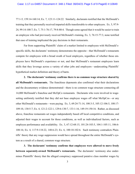77:1-5, 159:14-160:14; Ex. 7, 123:11-124:22. Similarly, declarants testified that the McDonald's training that they personally received imparted skills transferrable to other employers. Ex. 5, 97:9- 24, 99:14-100:7; Ex. 7, 75:1-76:17, 79:8-80:4. Though some agreed that it would be easier to train an employee who had previously received McDonald's training, Ex. 3, 76:15-77:3, none testified that ease of training implicated the pay decisions in their restaurants.

Far from supporting Plaintiffs' claim of a market limited to employees with McDonald'sspecific skills, the declarants' testimony demonstrates the opposite—that McDonald's restaurants compete for employees with a broad swath of local employers, regardless of whether those employees have McDonald's experience or not, and that McDonald's restaurant employees learn skills that they leverage across a variety of other jobs and employers—undercutting Plaintiffs' hypothetical market definition and theory of harm.

**2. The declarants' testimony confirms there is no common wage structure shared by all McDonald's restaurants.** The franchisee deponents also confirmed what their declarations and the documentary evidence demonstrated—there is no common wage structure connecting all 14,000 McDonald's franchise and McOpCo restaurants. Declarants who were involved in wagesetting uniformly testified that they did not base employee wages off what McOpCos—or any other McDonald's restaurants—were paying. Ex. 3, 69:24-71:14, 100:3-5, 105:12-106:5, 108:17- 109:10, 130:5-7; Ex. 4, 121:2-122:1, 129:6-130:7, 133:1-16, 149:19-150:16. Rather, as discussed above, franchise restaurants set wages independently based off local competitive conditions, and adjusted their wages to account for those conditions, as well as individualized factors, such as employee performance and availability. Ex. 3, 67:12-68:15, 101:24-103:5, 104:1-105:11, 106:6- 108:16; Ex. 4, 117:9-118:22, 148:6-23; Ex. 6, 100:10-102:6. Such testimony contradicts Plaintiffs' theory that any wage suppression would have spread throughout the entire McDonald's system as a result of a shared, common wage structure.

**3. The declarants' testimony confirms that employees were allowed to move freely between separately-owned McDonald's restaurants.** The declarants' testimony also undermines Plaintiffs' theory that the alleged conspiracy suppressed putative class member wages by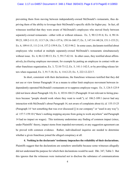#### Case: 1:17-cv-04857 Document #: 348-1 Filed: 06/04/21 Page 6 of 9 PageID #:10850

preventing them from moving between independently-owned McDonald's restaurants, thus depriving them of the ability to leverage their McDonald's-specific skills for higher pay. In fact, all witnesses testified that they were aware of McDonald's employees who moved freely between separately-owned restaurants—either with or without releases. Ex. 3, 90:12-91:6; Ex. 4, 98:14- 99:23, 109:2-111:15, 113:7-24, 156:1-157:6, 159:16-160:17; Ex. 5, 147:14-148:24, 151:1-153:21; Ex. 6, 109:4-15, 111:2-14, 157:2-159:9; Ex. 7, 92:5-94:2. In some cases, declarants testified about employees who worked at multiple separately-owned McDonald's restaurants simultaneously without issue. Ex. 4, 86:12-90:13; Ex. 5, 59:17-62:16. In other cases, they testified about affirmatively *facilitating* employee movement, for example by putting an employee in contact with another franchisee organization, Ex. 3, 72:10-73:12; Ex. 5, 141:1-142:5, or by providing release letters when requested, Ex. 3, 91:7-18; Ex. 4, 114:2-23; Ex. 5, 222:12-223:7.

In short, consistent with their declarations, the franchisee witnesses testified that they did not use or view former Paragraph 14 as a means to either limit employee movement between independently-operated McDonald's restaurants or to suppress employee wages. Ex. 3, 124:5-125:9 (did not know about Paragraph 14); Ex. 4, 103:8-104:21 (Paragraph 14 not relevant to hiring practices because "people should work where they want to work"); *id.* 106:2-109:1 (never had any interaction with McDonald's about Paragraph 14, not aware of complaints about it); *id.* 155:15-25 (Paragraph 14 "not something that was ever discussed [] in our company" or "used in any way"); *id.* 157:7-159:10 ("there's nothing stopping anyone from going to work anywhere" and Paragraph 14 had no impact on wages). This testimony undermines any finding of common impact (since, under Plaintiffs' theory, impact stems from impeded movement), or any suggestion agreement can be proved with common evidence. Rather, individualized inquiries are needed to determine whether a given franchisee joined the alleged conspiracy at all.

**4. Nothing in the declarants' testimony impeaches the reliability of their declarations.** Plaintiffs suggest that the declarations are somehow unreliable because some witnesses allegedly did not understand the purpose for which their declarations would be used. Dkt. 347, Table 3. But this ignores that the witnesses were instructed not to disclose the substance of communications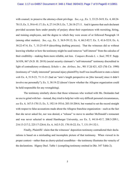with counsel, to preserve the attorney-client privilege. *See*, *e.g.*, Ex. 3, 33:23-34:9; Ex. 4, 68:24- 70:15; Ex. 5, 39:6-41:17; Ex. 6, 27:14-29:3; Ex. 7, 26:18-27:11. And it ignores that each declarant provided accurate facts under penalty of perjury about their experiences with recruiting, hiring, and training employees, and the degree to which they were aware of or followed Paragraph 14 (among other matters). *See*, *e.g*., Ex. 3, 36:9-39:12; Ex. 4, 66:2-82:7; Ex. 5, 41:6-52:9; Ex. 6, 30:22-47:4; Ex. 7, 33:25-45:9 (describing drafting process). That the witnesses did so without knowing whether or how the testimony might be used removes "self-interest" from the calculus of their credibility—making them more reliable, not less. *Compare Brenda L. v. Saul*, 392 F. Supp. 3d 858, 867 (N.D. Ill. 2019) (social security claimant's "self-interested" testimony discredited in light of contradictory evidence); *Schultz v. Am. Airlines, Inc.*, 901 F.2d 621, 623 (7th Cir. 1990) (testimony of "vitally interested" personal injury plaintiff by itself was insufficient to state a claim) *with* Ex. 4, 51:9-23, 71:11-21 (had an "arm's length perspective on [this lawsuit] since it didn't involve me personally"); Ex. 5, 38:19-22 (doesn't know whether the Allegroe organization could be held responsible for any wrongdoing).

The testimony similarly shows that those witnesses who worked with Ms. Deslandes had no axe to grind with her—instead, they tried to help her with very difficult personal circumstances, *see* Ex. 6, 167:5-170:13; Ex. 5, 192:14-193:6; 203:10-204:6, but wanted to set the record straight with respect to false accusations made about the Allegroe franchise organization—such as the fact that she never asked for, nor was denied, a "release" to move to another McDonald's restaurant and was never selected to attend Hamburger University, *see* Ex. 5, 44:16-45:7, 208:3-209:1, 216:13-217:2, 225:17-226:6; Ex. 6, 162:5-25, 170:10-22; Ex. 7, 131:19-132:1.

Finally, Plaintiffs' claim that the witnesses' deposition testimony contradicted their declarations is based on a misleading and incomplete picture of that testimony. When viewed in its proper context—rather than as cherry-picked soundbites—the testimony illustrates the veracity of the declarations. Higney Decl. Table 1 (compiling testimony omitted in Dkt. 347 Table 2).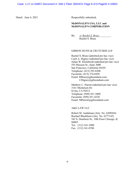Dated: June 4, 2021 Respectfully submitted,

## **McDONALD'S USA, LLC and McDONALD'S CORPORATION**

By: */s/ Rachel S. Brass*

Rachel S. Brass

### GIBSON DUNN & CRUTCHER LLP

Rachel S. Brass (admitted pro hac vice) Caeli A. Higney (admitted pro hac vice) Julian W. Kleinbrodt (admitted pro hac vice) 555 Mission St., Suite 3000 San Francisco, California 94105 Telephone: (415) 393-8200 Facsimile: (415) 374-8458 Email: RBrass@gibsondunn.com CHigney@gibsondunn.com

Matthew C. Parrott (admitted pro hac vice) 3161 Michelson Dr. Irvine, CA 92612 Telephone: (949) 451-3800 Facsimile: (949) 451-4220 Email: MParrott@gibsondunn.com

A&G LAW LLC

Robert M. Andalman (Atty. No. 6209454) Rachael Blackburn (Atty. No. 6277142) 542 S. Dearborn St.; 10th Floor Chicago, IL 60605 Tel.: (312) 341-3900 Fax: (312) 341-0700